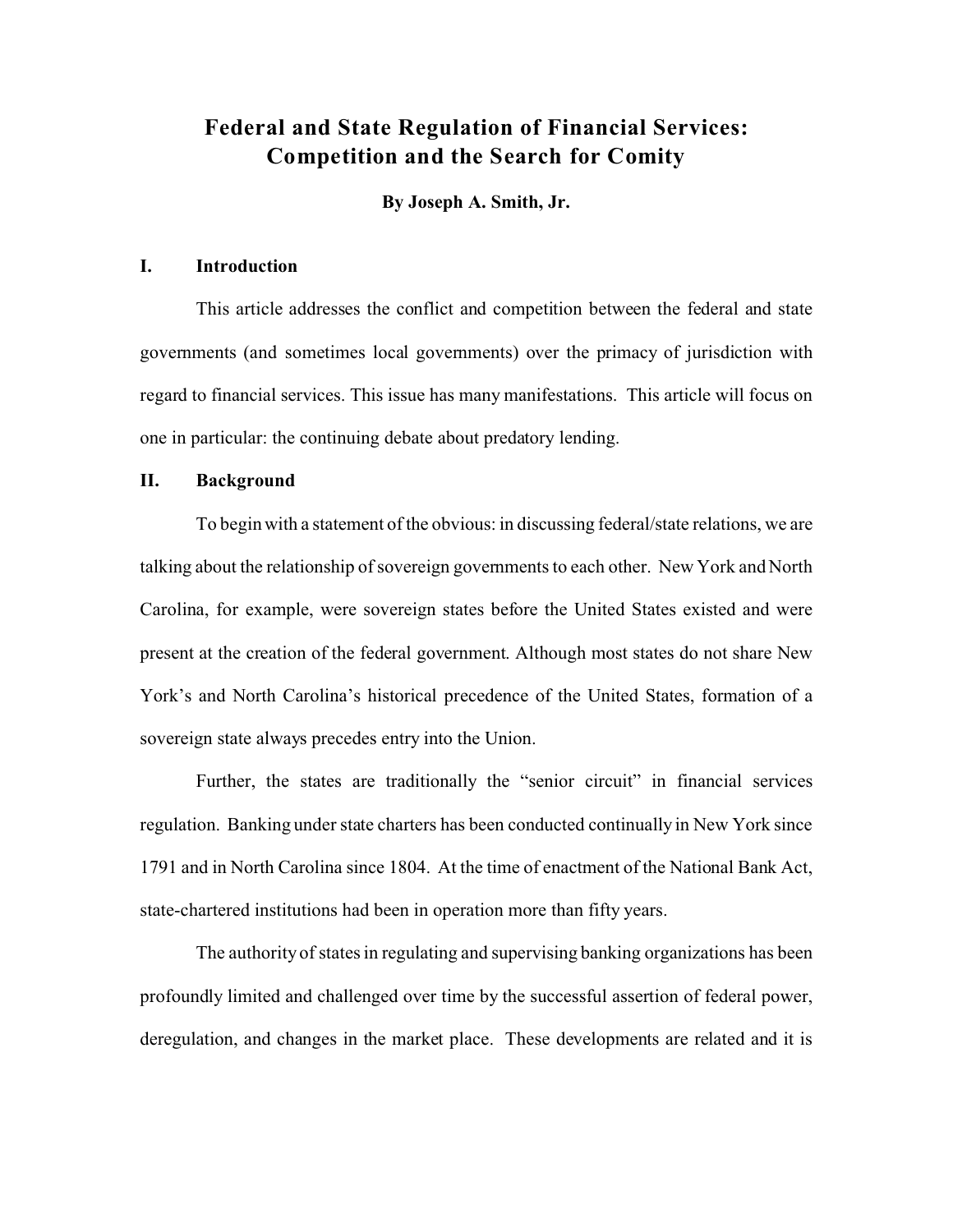### **Federal and State Regulation of Financial Services: Competition and the Search for Comity**

**By Joseph A. Smith, Jr.**

#### **I. Introduction**

This article addresses the conflict and competition between the federal and state governments (and sometimes local governments) over the primacy of jurisdiction with regard to financial services. This issue has many manifestations. This article will focus on one in particular: the continuing debate about predatory lending.

#### **II. Background**

To begin with a statement of the obvious: in discussing federal/state relations, we are talking about the relationship of sovereign governments to each other. New York and North Carolina, for example, were sovereign states before the United States existed and were present at the creation of the federal government. Although most states do not share New York's and North Carolina's historical precedence of the United States, formation of a sovereign state always precedes entry into the Union.

Further, the states are traditionally the "senior circuit" in financial services regulation. Banking under state charters has been conducted continually in New York since 1791 and in North Carolina since 1804. At the time of enactment of the National Bank Act, state-chartered institutions had been in operation more than fifty years.

The authority of states in regulating and supervising banking organizations has been profoundly limited and challenged over time by the successful assertion of federal power, deregulation, and changes in the market place. These developments are related and it is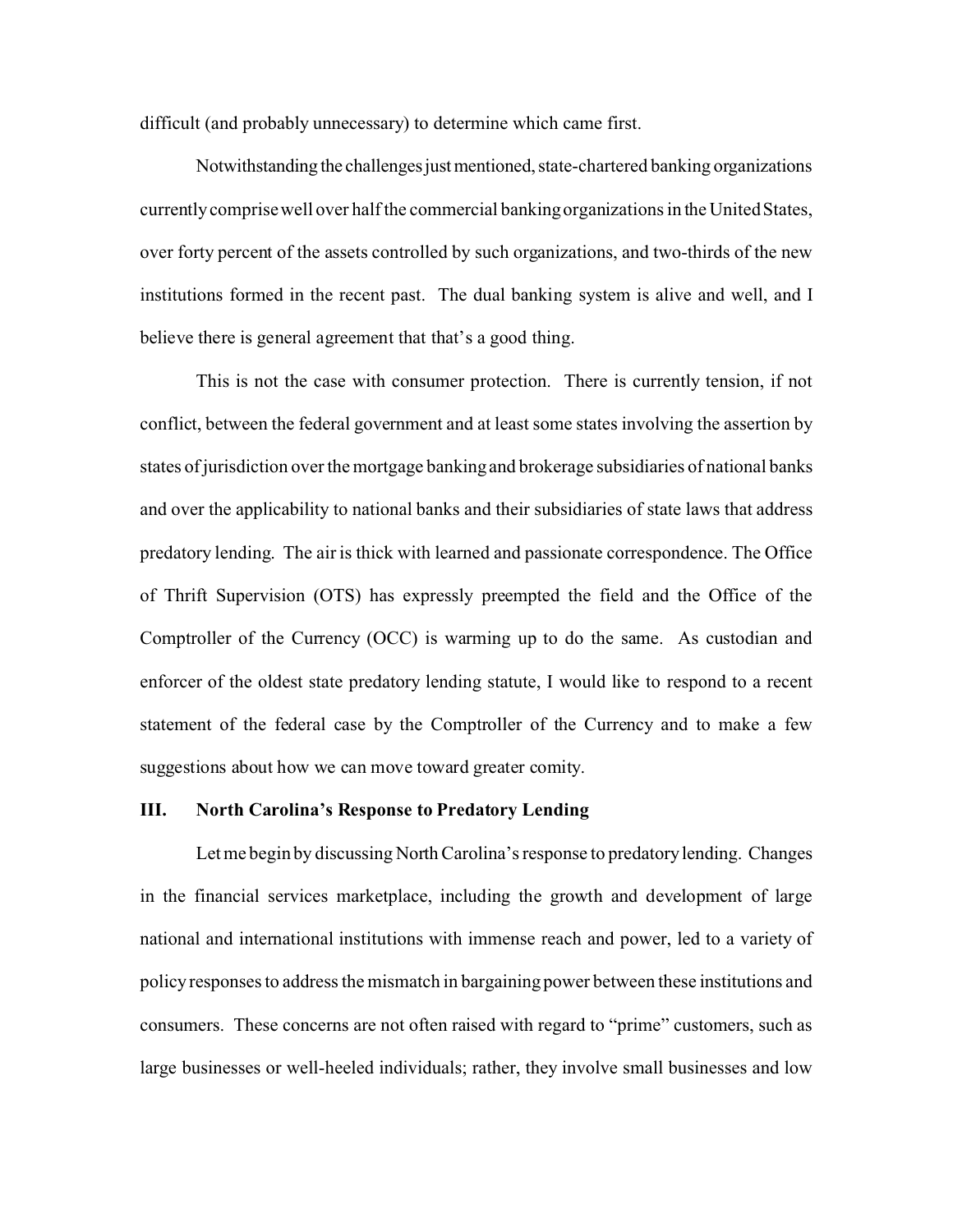difficult (and probably unnecessary) to determine which came first.

Notwithstanding the challenges just mentioned, state-chartered banking organizations currently comprise well over half the commercial banking organizations in the United States, over forty percent of the assets controlled by such organizations, and two-thirds of the new institutions formed in the recent past. The dual banking system is alive and well, and I believe there is general agreement that that's a good thing.

This is not the case with consumer protection. There is currently tension, if not conflict, between the federal government and at least some states involving the assertion by states of jurisdiction over the mortgage banking and brokerage subsidiaries of national banks and over the applicability to national banks and their subsidiaries of state laws that address predatory lending. The air is thick with learned and passionate correspondence. The Office of Thrift Supervision (OTS) has expressly preempted the field and the Office of the Comptroller of the Currency (OCC) is warming up to do the same. As custodian and enforcer of the oldest state predatory lending statute, I would like to respond to a recent statement of the federal case by the Comptroller of the Currency and to make a few suggestions about how we can move toward greater comity.

#### **III. North Carolina's Response to Predatory Lending**

Let me begin by discussing North Carolina's response to predatory lending. Changes in the financial services marketplace, including the growth and development of large national and international institutions with immense reach and power, led to a variety of policy responses to address the mismatch in bargaining power between these institutions and consumers. These concerns are not often raised with regard to "prime" customers, such as large businesses or well-heeled individuals; rather, they involve small businesses and low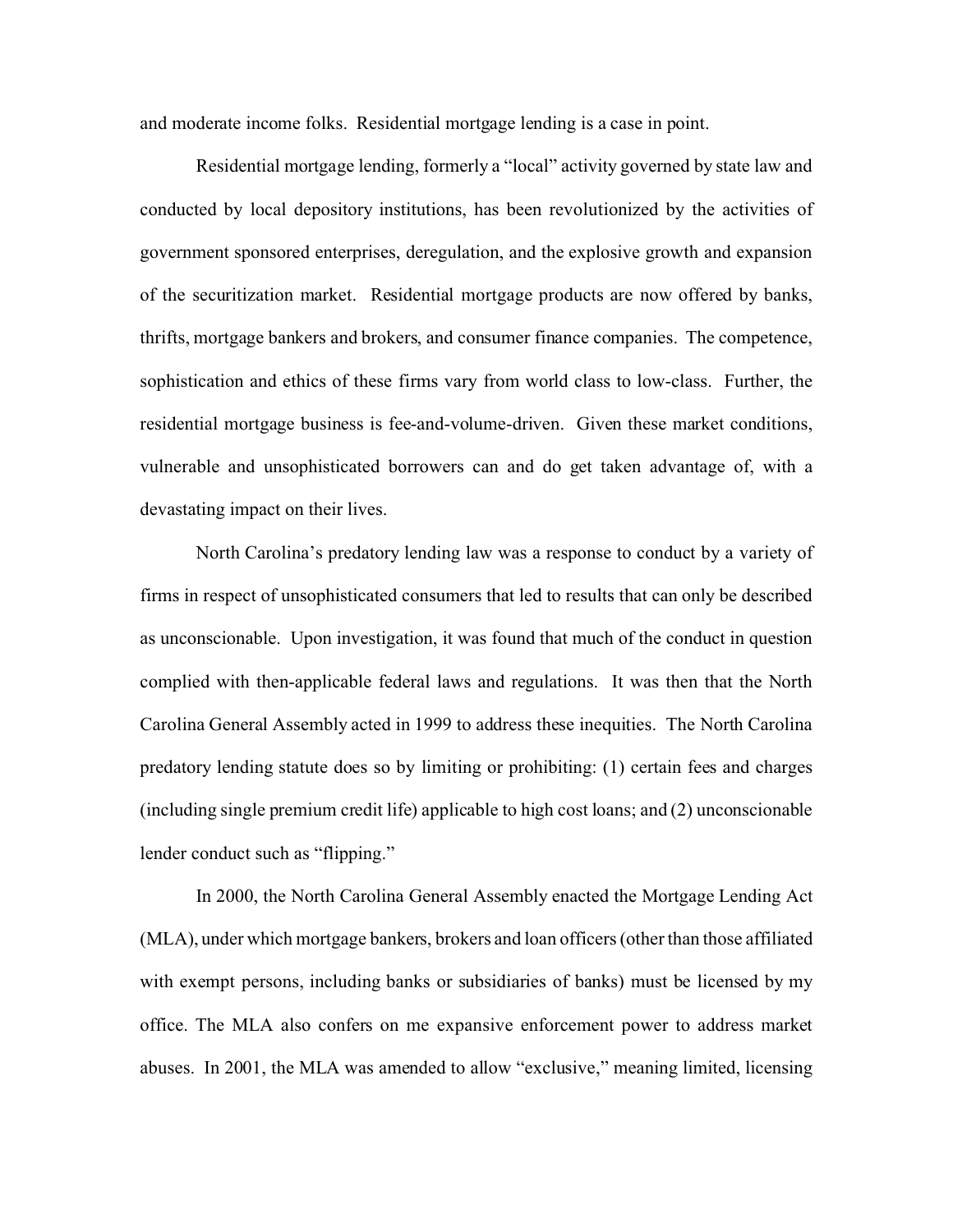and moderate income folks. Residential mortgage lending is a case in point.

Residential mortgage lending, formerly a "local" activity governed by state law and conducted by local depository institutions, has been revolutionized by the activities of government sponsored enterprises, deregulation, and the explosive growth and expansion of the securitization market. Residential mortgage products are now offered by banks, thrifts, mortgage bankers and brokers, and consumer finance companies. The competence, sophistication and ethics of these firms vary from world class to low-class. Further, the residential mortgage business is fee-and-volume-driven. Given these market conditions, vulnerable and unsophisticated borrowers can and do get taken advantage of, with a devastating impact on their lives.

North Carolina's predatory lending law was a response to conduct by a variety of firms in respect of unsophisticated consumers that led to results that can only be described as unconscionable. Upon investigation, it was found that much of the conduct in question complied with then-applicable federal laws and regulations. It was then that the North Carolina General Assembly acted in 1999 to address these inequities. The North Carolina predatory lending statute does so by limiting or prohibiting: (1) certain fees and charges (including single premium credit life) applicable to high cost loans; and (2) unconscionable lender conduct such as "flipping."

In 2000, the North Carolina General Assembly enacted the Mortgage Lending Act (MLA), under which mortgage bankers, brokers and loan officers (other than those affiliated with exempt persons, including banks or subsidiaries of banks) must be licensed by my office. The MLA also confers on me expansive enforcement power to address market abuses. In 2001, the MLA was amended to allow "exclusive," meaning limited, licensing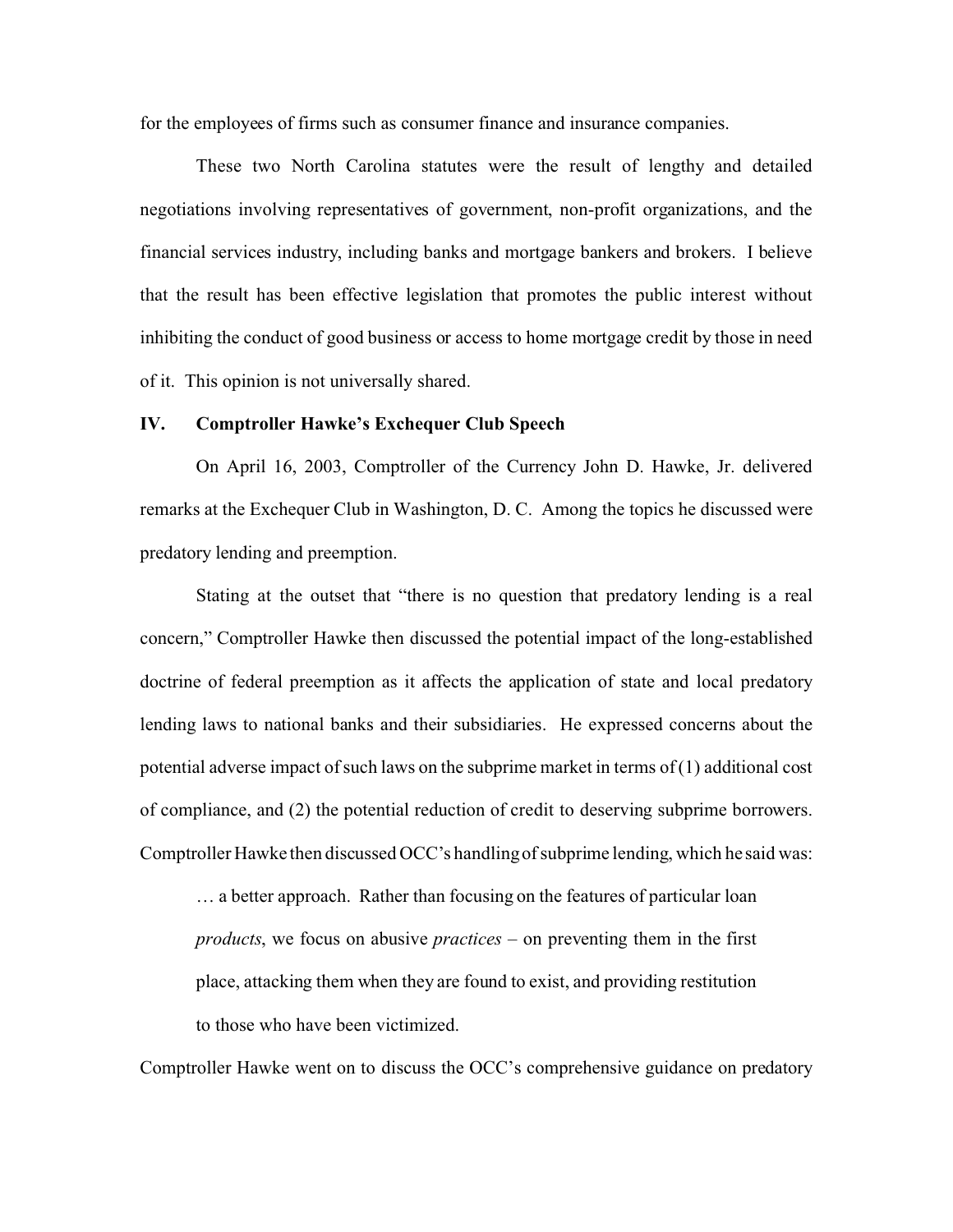for the employees of firms such as consumer finance and insurance companies.

These two North Carolina statutes were the result of lengthy and detailed negotiations involving representatives of government, non-profit organizations, and the financial services industry, including banks and mortgage bankers and brokers. I believe that the result has been effective legislation that promotes the public interest without inhibiting the conduct of good business or access to home mortgage credit by those in need of it. This opinion is not universally shared.

#### **IV. Comptroller Hawke's Exchequer Club Speech**

On April 16, 2003, Comptroller of the Currency John D. Hawke, Jr. delivered remarks at the Exchequer Club in Washington, D. C. Among the topics he discussed were predatory lending and preemption.

Stating at the outset that "there is no question that predatory lending is a real concern," Comptroller Hawke then discussed the potential impact of the long-established doctrine of federal preemption as it affects the application of state and local predatory lending laws to national banks and their subsidiaries. He expressed concerns about the potential adverse impact of such laws on the subprime market in terms of (1) additional cost of compliance, and (2) the potential reduction of credit to deserving subprime borrowers. Comptroller Hawke then discussed OCC's handling of subprime lending, which he said was:

… a better approach. Rather than focusing on the features of particular loan *products*, we focus on abusive *practices* – on preventing them in the first place, attacking them when they are found to exist, and providing restitution to those who have been victimized.

Comptroller Hawke went on to discuss the OCC's comprehensive guidance on predatory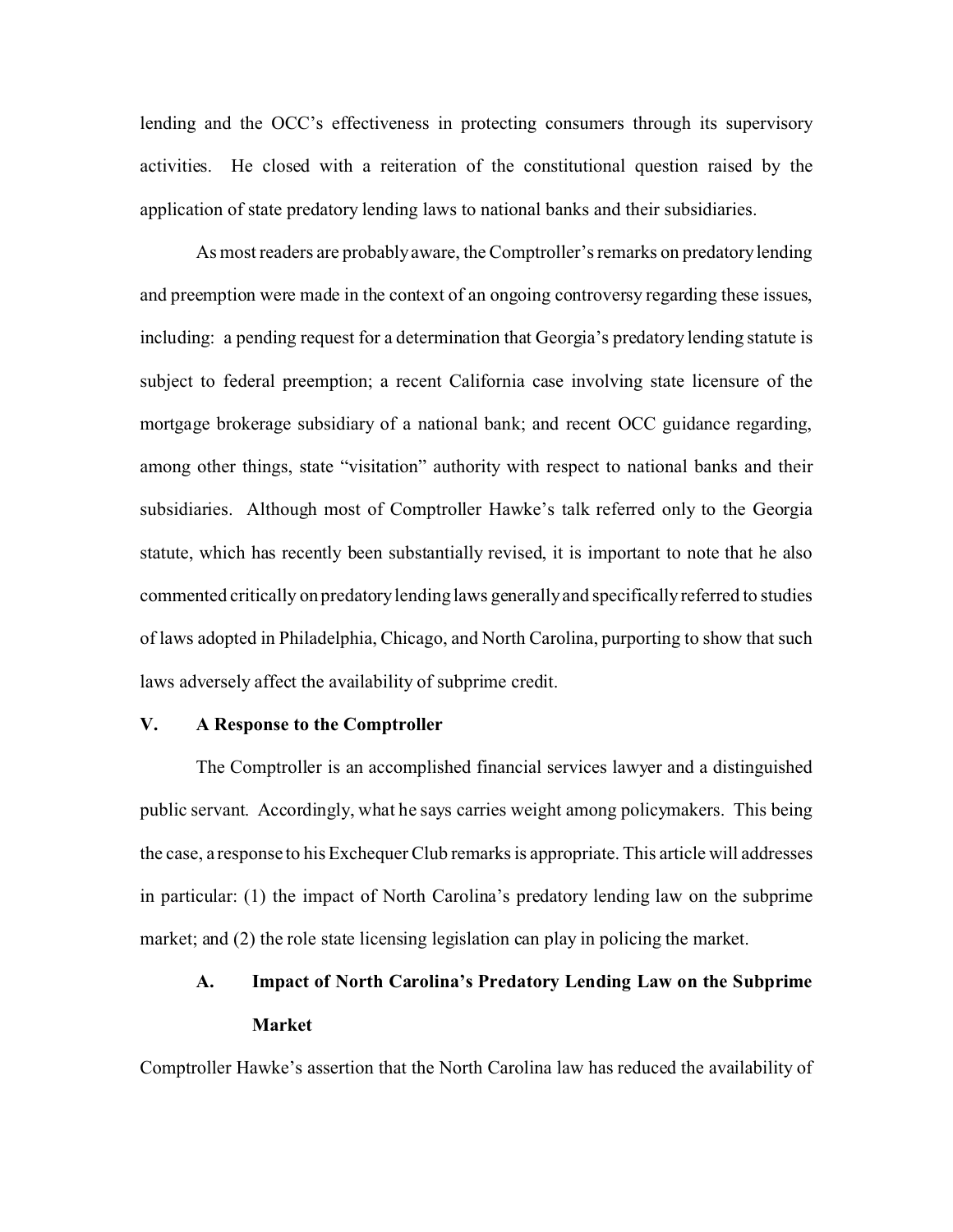lending and the OCC's effectiveness in protecting consumers through its supervisory activities. He closed with a reiteration of the constitutional question raised by the application of state predatory lending laws to national banks and their subsidiaries.

As most readers are probably aware, the Comptroller's remarks on predatory lending and preemption were made in the context of an ongoing controversy regarding these issues, including: a pending request for a determination that Georgia's predatory lending statute is subject to federal preemption; a recent California case involving state licensure of the mortgage brokerage subsidiary of a national bank; and recent OCC guidance regarding, among other things, state "visitation" authority with respect to national banks and their subsidiaries. Although most of Comptroller Hawke's talk referred only to the Georgia statute, which has recently been substantially revised, it is important to note that he also commented critically on predatory lending laws generally and specifically referred to studies of laws adopted in Philadelphia, Chicago, and North Carolina, purporting to show that such laws adversely affect the availability of subprime credit.

#### **V. A Response to the Comptroller**

The Comptroller is an accomplished financial services lawyer and a distinguished public servant. Accordingly, what he says carries weight among policymakers. This being the case, a response to his Exchequer Club remarks is appropriate. This article will addresses in particular: (1) the impact of North Carolina's predatory lending law on the subprime market; and (2) the role state licensing legislation can play in policing the market.

## **A. Impact of North Carolina's Predatory Lending Law on the Subprime Market**

Comptroller Hawke's assertion that the North Carolina law has reduced the availability of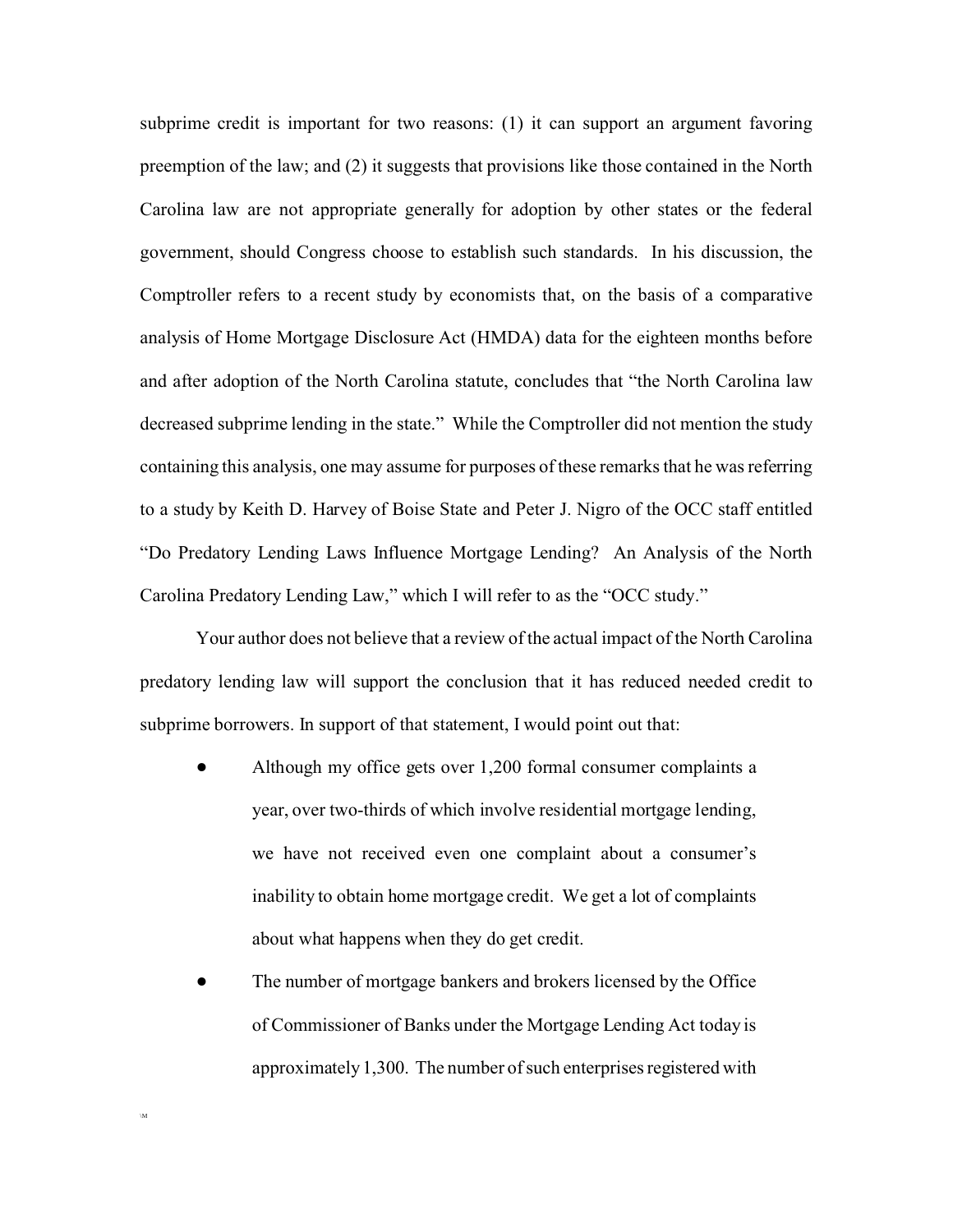subprime credit is important for two reasons: (1) it can support an argument favoring preemption of the law; and (2) it suggests that provisions like those contained in the North Carolina law are not appropriate generally for adoption by other states or the federal government, should Congress choose to establish such standards. In his discussion, the Comptroller refers to a recent study by economists that, on the basis of a comparative analysis of Home Mortgage Disclosure Act (HMDA) data for the eighteen months before and after adoption of the North Carolina statute, concludes that "the North Carolina law decreased subprime lending in the state." While the Comptroller did not mention the study containing this analysis, one may assume for purposes of these remarks that he was referring to a study by Keith D. Harvey of Boise State and Peter J. Nigro of the OCC staff entitled "Do Predatory Lending Laws Influence Mortgage Lending? An Analysis of the North Carolina Predatory Lending Law," which I will refer to as the "OCC study."

Your author does not believe that a review of the actual impact of the North Carolina predatory lending law will support the conclusion that it has reduced needed credit to subprime borrowers. In support of that statement, I would point out that:

- ! Although my office gets over 1,200 formal consumer complaints a year, over two-thirds of which involve residential mortgage lending, we have not received even one complaint about a consumer's inability to obtain home mortgage credit. We get a lot of complaints about what happens when they do get credit.
- ! The number of mortgage bankers and brokers licensed by the Office of Commissioner of Banks under the Mortgage Lending Act today is approximately 1,300. The number of such enterprises registered with

\M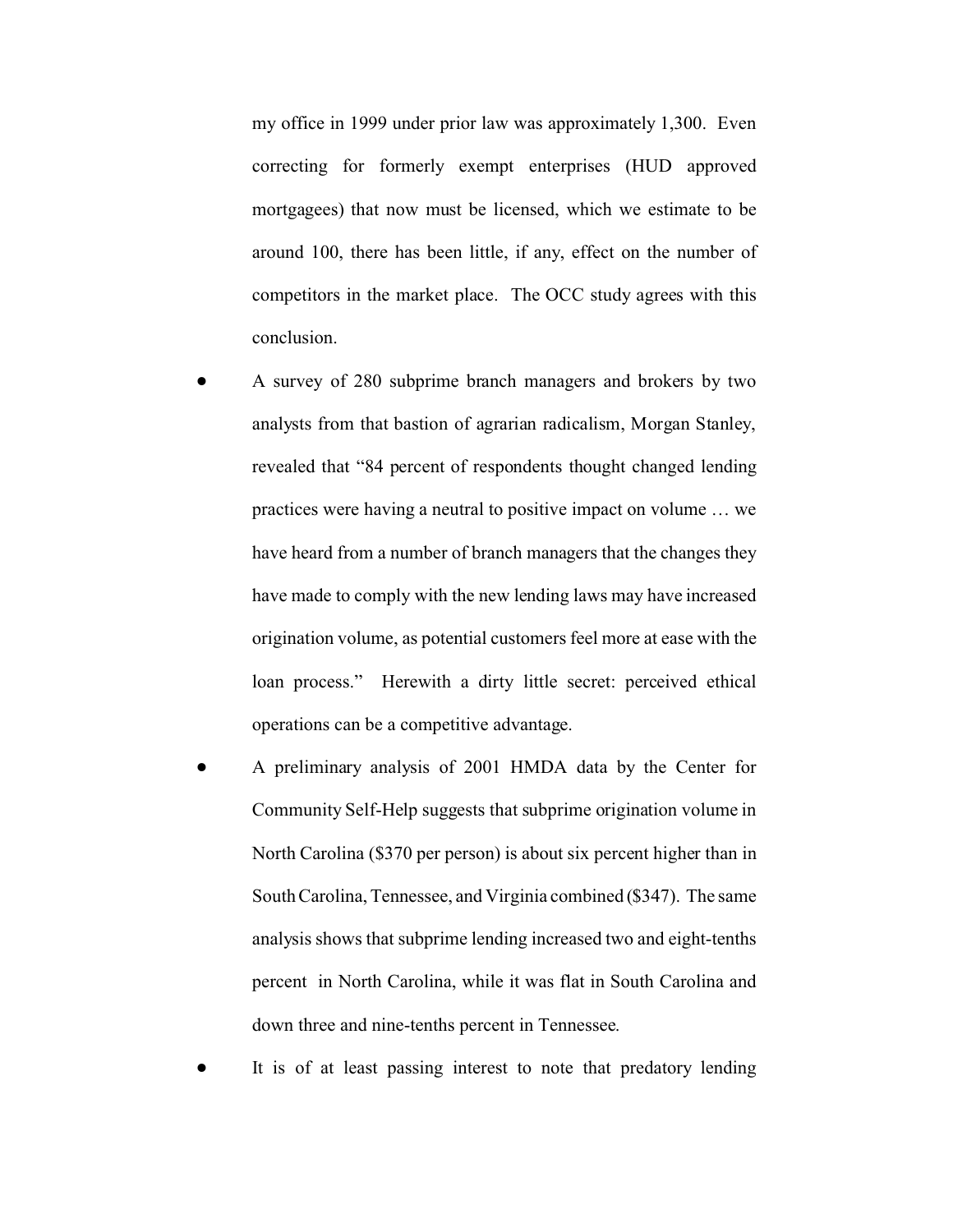my office in 1999 under prior law was approximately 1,300. Even correcting for formerly exempt enterprises (HUD approved mortgagees) that now must be licensed, which we estimate to be around 100, there has been little, if any, effect on the number of competitors in the market place. The OCC study agrees with this conclusion.

- ! A survey of 280 subprime branch managers and brokers by two analysts from that bastion of agrarian radicalism, Morgan Stanley, revealed that "84 percent of respondents thought changed lending practices were having a neutral to positive impact on volume … we have heard from a number of branch managers that the changes they have made to comply with the new lending laws may have increased origination volume, as potential customers feel more at ease with the loan process." Herewith a dirty little secret: perceived ethical operations can be a competitive advantage.
- ! A preliminary analysis of 2001 HMDA data by the Center for Community Self-Help suggests that subprime origination volume in North Carolina (\$370 per person) is about six percent higher than in South Carolina, Tennessee, and Virginia combined (\$347). The same analysis shows that subprime lending increased two and eight-tenths percent in North Carolina, while it was flat in South Carolina and down three and nine-tenths percent in Tennessee.

It is of at least passing interest to note that predatory lending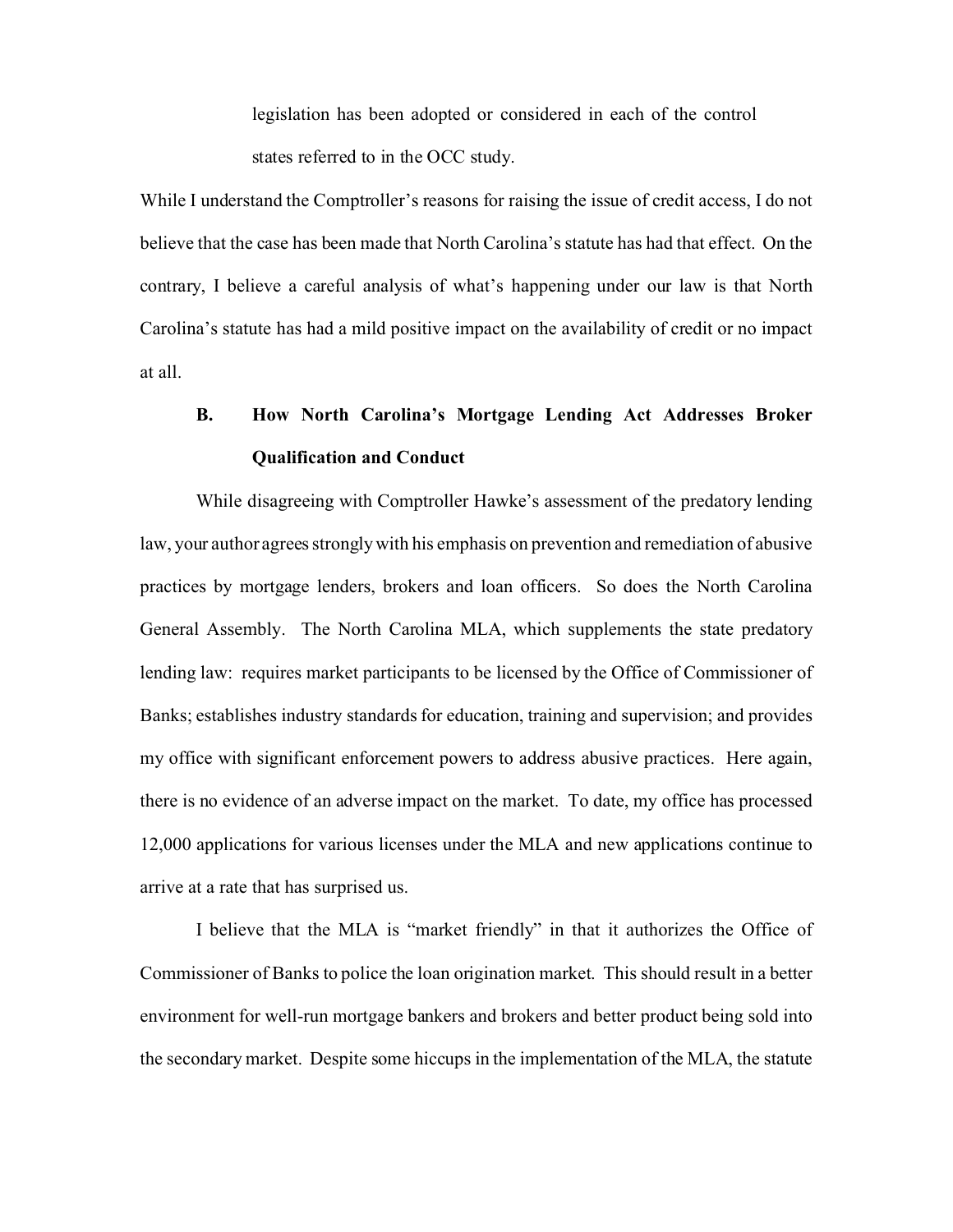legislation has been adopted or considered in each of the control states referred to in the OCC study.

While I understand the Comptroller's reasons for raising the issue of credit access, I do not believe that the case has been made that North Carolina's statute has had that effect. On the contrary, I believe a careful analysis of what's happening under our law is that North Carolina's statute has had a mild positive impact on the availability of credit or no impact at all.

# **B. How North Carolina's Mortgage Lending Act Addresses Broker Qualification and Conduct**

While disagreeing with Comptroller Hawke's assessment of the predatory lending law, your author agrees strongly with his emphasis on prevention and remediation of abusive practices by mortgage lenders, brokers and loan officers. So does the North Carolina General Assembly. The North Carolina MLA, which supplements the state predatory lending law: requires market participants to be licensed by the Office of Commissioner of Banks; establishes industry standards for education, training and supervision; and provides my office with significant enforcement powers to address abusive practices. Here again, there is no evidence of an adverse impact on the market. To date, my office has processed 12,000 applications for various licenses under the MLA and new applications continue to arrive at a rate that has surprised us.

I believe that the MLA is "market friendly" in that it authorizes the Office of Commissioner of Banks to police the loan origination market. This should result in a better environment for well-run mortgage bankers and brokers and better product being sold into the secondary market. Despite some hiccups in the implementation of the MLA, the statute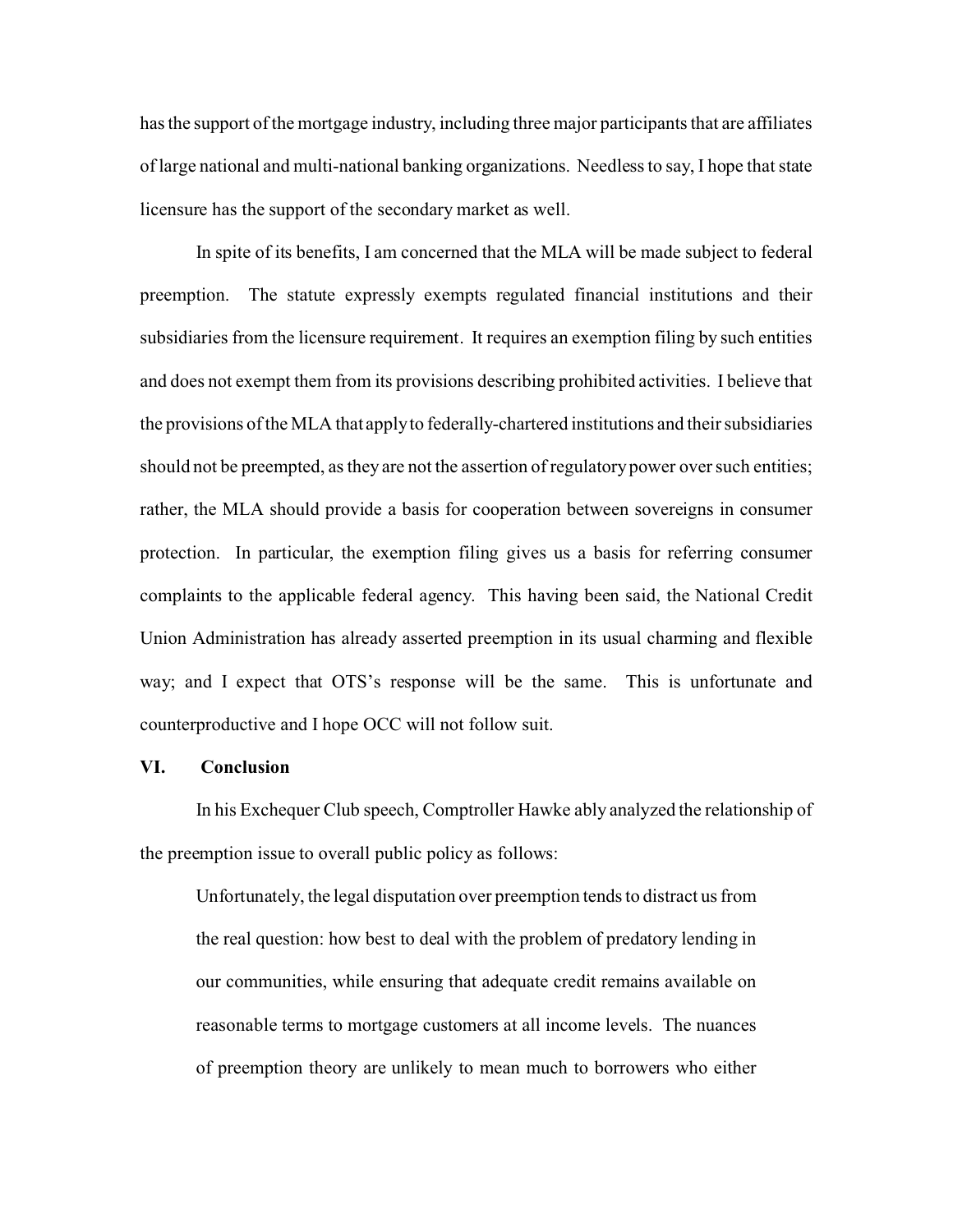has the support of the mortgage industry, including three major participants that are affiliates of large national and multi-national banking organizations. Needless to say, I hope that state licensure has the support of the secondary market as well.

In spite of its benefits, I am concerned that the MLA will be made subject to federal preemption. The statute expressly exempts regulated financial institutions and their subsidiaries from the licensure requirement. It requires an exemption filing by such entities and does not exempt them from its provisions describing prohibited activities. I believe that the provisions of the MLA that apply to federally-chartered institutions and their subsidiaries should not be preempted, as they are not the assertion of regulatory power over such entities; rather, the MLA should provide a basis for cooperation between sovereigns in consumer protection. In particular, the exemption filing gives us a basis for referring consumer complaints to the applicable federal agency. This having been said, the National Credit Union Administration has already asserted preemption in its usual charming and flexible way; and I expect that OTS's response will be the same. This is unfortunate and counterproductive and I hope OCC will not follow suit.

#### **VI. Conclusion**

In his Exchequer Club speech, Comptroller Hawke ably analyzed the relationship of the preemption issue to overall public policy as follows:

Unfortunately, the legal disputation over preemption tends to distract us from the real question: how best to deal with the problem of predatory lending in our communities, while ensuring that adequate credit remains available on reasonable terms to mortgage customers at all income levels. The nuances of preemption theory are unlikely to mean much to borrowers who either